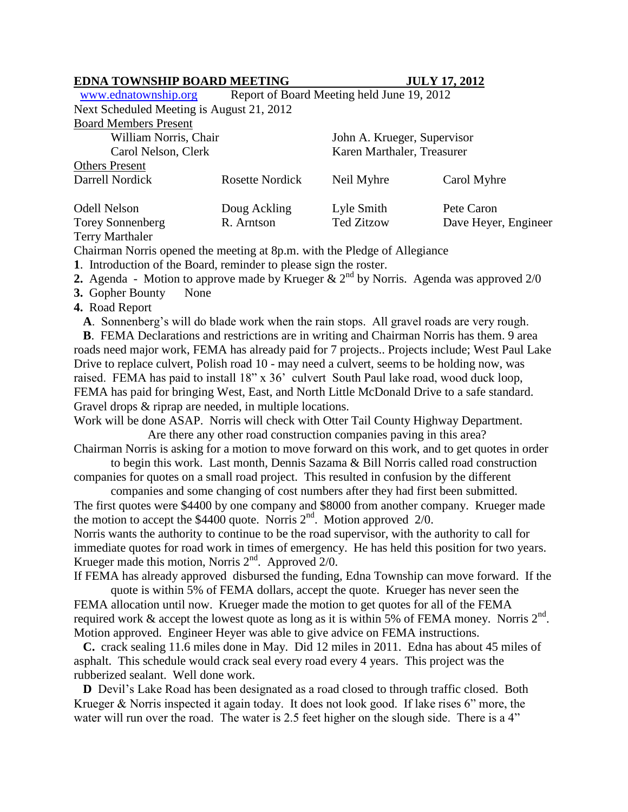## **EDNA TOWNSHIP BOARD MEETING JULY 17, 2012**

[www.ednatownship.org](http://www.ednatownship.org/) Report of Board Meeting held June 19, 2012 Next Scheduled Meeting is August 21, 2012 Board Members Present

| DOALU IVICHIUCIS I IUSUIL                    |                        |                                                           |                      |
|----------------------------------------------|------------------------|-----------------------------------------------------------|----------------------|
| William Norris, Chair<br>Carol Nelson, Clerk |                        | John A. Krueger, Supervisor<br>Karen Marthaler, Treasurer |                      |
|                                              |                        |                                                           |                      |
| Darrell Nordick                              | <b>Rosette Nordick</b> | Neil Myhre                                                | Carol Myhre          |
| <b>Odell Nelson</b>                          | Doug Ackling           | Lyle Smith                                                | Pete Caron           |
| <b>Torey Sonnenberg</b>                      | R. Arntson             | <b>Ted Zitzow</b>                                         | Dave Heyer, Engineer |

Terry Marthaler

Chairman Norris opened the meeting at 8p.m. with the Pledge of Allegiance

**1**. Introduction of the Board, reminder to please sign the roster.

**2.** Agenda - Motion to approve made by Krueger  $\& 2^{nd}$  by Norris. Agenda was approved  $2/0$ 

**3.** Gopher Bounty None

**4.** Road Report

 **A**. Sonnenberg's will do blade work when the rain stops. All gravel roads are very rough.

 **B**. FEMA Declarations and restrictions are in writing and Chairman Norris has them. 9 area roads need major work, FEMA has already paid for 7 projects.. Projects include; West Paul Lake Drive to replace culvert, Polish road 10 - may need a culvert, seems to be holding now, was raised. FEMA has paid to install 18" x 36' culvert South Paul lake road, wood duck loop, FEMA has paid for bringing West, East, and North Little McDonald Drive to a safe standard. Gravel drops & riprap are needed, in multiple locations.

Work will be done ASAP. Norris will check with Otter Tail County Highway Department. Are there any other road construction companies paving in this area?

Chairman Norris is asking for a motion to move forward on this work, and to get quotes in order to begin this work. Last month, Dennis Sazama & Bill Norris called road construction

companies for quotes on a small road project. This resulted in confusion by the different companies and some changing of cost numbers after they had first been submitted.

The first quotes were \$4400 by one company and \$8000 from another company. Krueger made the motion to accept the  $$4400$  quote. Norris  $2<sup>nd</sup>$ . Motion approved 2/0.

Norris wants the authority to continue to be the road supervisor, with the authority to call for immediate quotes for road work in times of emergency. He has held this position for two years. Krueger made this motion, Norris 2<sup>nd</sup>. Approved 2/0.

If FEMA has already approved disbursed the funding, Edna Township can move forward. If the quote is within 5% of FEMA dollars, accept the quote. Krueger has never seen the

FEMA allocation until now. Krueger made the motion to get quotes for all of the FEMA required work & accept the lowest quote as long as it is within 5% of FEMA money. Norris  $2<sup>nd</sup>$ . Motion approved. Engineer Heyer was able to give advice on FEMA instructions.

 **C.** crack sealing 11.6 miles done in May. Did 12 miles in 2011. Edna has about 45 miles of asphalt. This schedule would crack seal every road every 4 years. This project was the rubberized sealant. Well done work.

**D** Devil's Lake Road has been designated as a road closed to through traffic closed. Both Krueger & Norris inspected it again today. It does not look good. If lake rises 6" more, the water will run over the road. The water is 2.5 feet higher on the slough side. There is a 4"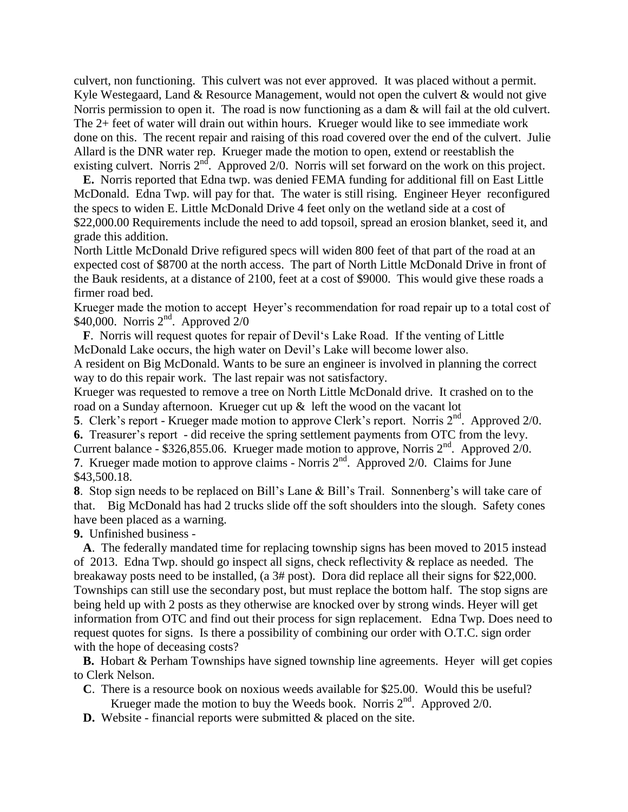culvert, non functioning. This culvert was not ever approved. It was placed without a permit. Kyle Westegaard, Land & Resource Management, would not open the culvert & would not give Norris permission to open it. The road is now functioning as a dam & will fail at the old culvert. The 2+ feet of water will drain out within hours. Krueger would like to see immediate work done on this. The recent repair and raising of this road covered over the end of the culvert. Julie Allard is the DNR water rep. Krueger made the motion to open, extend or reestablish the existing culvert. Norris  $2<sup>nd</sup>$ . Approved 2/0. Norris will set forward on the work on this project.

 **E.** Norris reported that Edna twp. was denied FEMA funding for additional fill on East Little McDonald. Edna Twp. will pay for that. The water is still rising. Engineer Heyer reconfigured the specs to widen E. Little McDonald Drive 4 feet only on the wetland side at a cost of \$22,000.00 Requirements include the need to add topsoil, spread an erosion blanket, seed it, and grade this addition.

North Little McDonald Drive refigured specs will widen 800 feet of that part of the road at an expected cost of \$8700 at the north access. The part of North Little McDonald Drive in front of the Bauk residents, at a distance of 2100, feet at a cost of \$9000. This would give these roads a firmer road bed.

Krueger made the motion to accept Heyer's recommendation for road repair up to a total cost of  $$40,000$ . Norris  $2<sup>nd</sup>$ . Approved  $2/0$ 

 **F**. Norris will request quotes for repair of Devil's Lake Road. If the venting of Little McDonald Lake occurs, the high water on Devil's Lake will become lower also.

A resident on Big McDonald. Wants to be sure an engineer is involved in planning the correct way to do this repair work. The last repair was not satisfactory.

Krueger was requested to remove a tree on North Little McDonald drive. It crashed on to the road on a Sunday afternoon. Krueger cut up & left the wood on the vacant lot

**5**. Clerk's report - Krueger made motion to approve Clerk's report. Norris  $2^{nd}$ . Approved 2/0.

**6.** Treasurer's report - did receive the spring settlement payments from OTC from the levy.

Current balance - \$326,855.06. Krueger made motion to approve, Norris  $2<sup>nd</sup>$ . Approved 2/0.

**7**. Krueger made motion to approve claims - Norris  $2<sup>nd</sup>$ . Approved 2/0. Claims for June \$43,500.18.

**8**. Stop sign needs to be replaced on Bill's Lane & Bill's Trail. Sonnenberg's will take care of that. Big McDonald has had 2 trucks slide off the soft shoulders into the slough. Safety cones have been placed as a warning.

**9.** Unfinished business -

 **A**. The federally mandated time for replacing township signs has been moved to 2015 instead of 2013. Edna Twp. should go inspect all signs, check reflectivity & replace as needed. The breakaway posts need to be installed, (a 3# post). Dora did replace all their signs for \$22,000. Townships can still use the secondary post, but must replace the bottom half. The stop signs are being held up with 2 posts as they otherwise are knocked over by strong winds. Heyer will get information from OTC and find out their process for sign replacement. Edna Twp. Does need to request quotes for signs. Is there a possibility of combining our order with O.T.C. sign order with the hope of deceasing costs?

**B.** Hobart & Perham Townships have signed township line agreements. Heyer will get copies to Clerk Nelson.

- **C**. There is a resource book on noxious weeds available for \$25.00. Would this be useful? Krueger made the motion to buy the Weeds book. Norris  $2<sup>nd</sup>$ . Approved 2/0.
- **D.** Website financial reports were submitted & placed on the site.